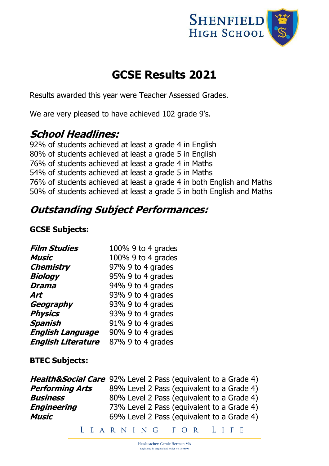

# **GCSE Results 2021**

Results awarded this year were Teacher Assessed Grades.

We are very pleased to have achieved 102 grade 9's.

### **School Headlines:**

92% of students achieved at least a grade 4 in English 80% of students achieved at least a grade 5 in English 76% of students achieved at least a grade 4 in Maths 54% of students achieved at least a grade 5 in Maths 76% of students achieved at least a grade 4 in both English and Maths 50% of students achieved at least a grade 5 in both English and Maths

## **Outstanding Subject Performances:**

### **GCSE Subjects:**

| <b>Film Studies</b>       | 100% 9 to 4 grades   |
|---------------------------|----------------------|
| <b>Music</b>              | 100% 9 to 4 grades   |
| <b>Chemistry</b>          | 97% 9 to 4 grades    |
| <b>Biology</b>            | 95% 9 to 4 grades    |
| <b>Drama</b>              | 94% 9 to 4 grades    |
| Art                       | 93% 9 to 4 grades    |
| Geography                 | 93% 9 to 4 grades    |
| <b>Physics</b>            | 93% 9 to 4 grades    |
| Spanish                   | $91\%$ 9 to 4 grades |
| <b>English Language</b>   | 90% 9 to 4 grades    |
| <b>English Literature</b> | 87% 9 to 4 grades    |

#### **BTEC Subjects:**

|                        | <b>Health&amp;Social Care</b> 92% Level 2 Pass (equivalent to a Grade 4) |
|------------------------|--------------------------------------------------------------------------|
| <b>Performing Arts</b> | 89% Level 2 Pass (equivalent to a Grade 4)                               |
| <b>Business</b>        | 80% Level 2 Pass (equivalent to a Grade 4)                               |
| <b>Engineering</b>     | 73% Level 2 Pass (equivalent to a Grade 4)                               |
| Music                  | 69% Level 2 Pass (equivalent to a Grade 4)                               |
|                        |                                                                          |

LEARNING FOR LIFE